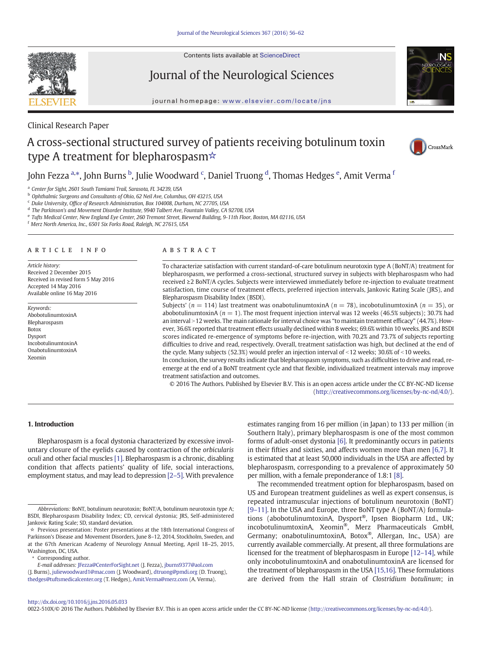Contents lists available at ScienceDirect



Journal of the Neurological Sciences



journal homepage: <www.elsevier.com/locate/jns>

# Clinical Research Paper

# A cross-sectional structured survey of patients receiving botulinum toxin type A treatment for blepharospasm☆



John Fezza <sup>a,</sup>\*, John Burns <sup>b</sup>, Julie Woodward <sup>c</sup>, Daniel Truong <sup>d</sup>, Thomas Hedges <sup>e</sup>, Amit Verma <sup>f</sup>

<sup>a</sup> Center for Sight, 2601 South Tamiami Trail, Sarasota, FL 34239, USA

<sup>b</sup> Ophthalmic Surgeons and Consultants of Ohio, 62 Neil Ave, Columbus, OH 43215, USA

<sup>c</sup> Duke University, Office of Research Administration, Box 104008, Durham, NC 27705, USA

<sup>d</sup> The Parkinson's and Movement Disorder Institute, 9940 Talbert Ave, Fountain Valley, CA 92708, USA

e Tufts Medical Center, New England Eye Center, 260 Tremont Street, Biewend Building, 9-11th Floor, Boston, MA 02116, USA

<sup>f</sup> Merz North America, Inc., 6501 Six Forks Road, Raleigh, NC 27615, USA

# article info abstract

Article history: Received 2 December 2015 Received in revised form 5 May 2016 Accepted 14 May 2016 Available online 16 May 2016

Keywords: AbobotulinumtoxinA Blepharospasm Botox Dysport IncobotulinumtoxinA OnabotulinumtoxinA Xeomin

To characterize satisfaction with current standard-of-care botulinum neurotoxin type A (BoNT/A) treatment for blepharospasm, we performed a cross-sectional, structured survey in subjects with blepharospasm who had received ≥2 BoNT/A cycles. Subjects were interviewed immediately before re-injection to evaluate treatment satisfaction, time course of treatment effects, preferred injection intervals, Jankovic Rating Scale (JRS), and Blepharospasm Disability Index (BSDI).

Subjects' ( $n = 114$ ) last treatment was onabotulinumtoxinA ( $n = 78$ ), incobotulinumtoxinA ( $n = 35$ ), or abobotulinumtoxinA ( $n = 1$ ). The most frequent injection interval was 12 weeks (46.5% subjects); 30.7% had an interval >12 weeks. The main rationale for interval choice was "to maintain treatment efficacy" (44.7%). However, 36.6% reported that treatment effects usually declined within 8 weeks; 69.6% within 10 weeks. JRS and BSDI scores indicated re-emergence of symptoms before re-injection, with 70.2% and 73.7% of subjects reporting difficulties to drive and read, respectively. Overall, treatment satisfaction was high, but declined at the end of the cycle. Many subjects (52.3%) would prefer an injection interval of  $<$ 12 weeks; 30.6% of  $<$ 10 weeks.

In conclusion, the survey results indicate that blepharospasm symptoms, such as difficulties to drive and read, reemerge at the end of a BoNT treatment cycle and that flexible, individualized treatment intervals may improve treatment satisfaction and outcomes.

© 2016 The Authors. Published by Elsevier B.V. This is an open access article under the CC BY-NC-ND license (<http://creativecommons.org/licenses/by-nc-nd/4.0/>).

## 1. Introduction

Blepharospasm is a focal dystonia characterized by excessive involuntary closure of the eyelids caused by contraction of the orbicularis oculi and other facial muscles [\[1\]](#page-6-0). Blepharospasm is a chronic, disabling condition that affects patients' quality of life, social interactions, employment status, and may lead to depression [2–[5\].](#page-6-0) With prevalence

E-mail addresses: JFezza@CenterForSight.net (J. Fezza), jburns9377@aol.com

(J. Burns), juliewoodward1@mac.com (J. Woodward), dtruong@pmdi.org (D. Truong), thedges@tuftsmedicalcenter.org (T. Hedges), [Amit.Verma@merz.com](mailto:Amit.Verma@merz.com) (A. Verma).

estimates ranging from 16 per million (in Japan) to 133 per million (in Southern Italy), primary blepharospasm is one of the most common forms of adult-onset dystonia [\[6\]](#page-6-0). It predominantly occurs in patients in their fifties and sixties, and affects women more than men [\[6,7\]](#page-6-0). It is estimated that at least 50,000 individuals in the USA are affected by blepharospasm, corresponding to a prevalence of approximately 50 per million, with a female preponderance of 1.8:1 [\[8\].](#page-6-0)

The recommended treatment option for blepharospasm, based on US and European treatment guidelines as well as expert consensus, is repeated intramuscular injections of botulinum neurotoxin (BoNT) [9–[11\]](#page-6-0). In the USA and Europe, three BoNT type A (BoNT/A) formulations (abobotulinumtoxinA, Dysport®, Ipsen Biopharm Ltd., UK; incobotulinumtoxinA, Xeomin®, Merz Pharmaceuticals GmbH, Germany; onabotulinumtoxinA, Botox®, Allergan, Inc., USA) are currently available commercially. At present, all three formulations are licensed for the treatment of blepharospasm in Europe [12–[14\],](#page-6-0) while only incobotulinumtoxinA and onabotulinumtoxinA are licensed for the treatment of blepharospasm in the USA [\[15,16\]](#page-6-0). These formulations are derived from the Hall strain of Clostridium botulinum; in

#### <http://dx.doi.org/10.1016/j.jns.2016.05.033>

0022-510X/© 2016 The Authors. Published by Elsevier B.V. This is an open access article under the CC BY-NC-ND license [\(http://creativecommons.org/licenses/by-nc-nd/4.0/\)](http://creativecommons.org/licenses/by-nc-nd/4.0/).

Abbreviations: BoNT, botulinum neurotoxin; BoNT/A, botulinum neurotoxin type A; BSDI, Blepharospasm Disability Index; CD, cervical dystonia; JRS, Self-administered Jankovic Rating Scale; SD, standard deviation.

<sup>☆</sup> Previous presentation: Poster presentations at the 18th International Congress of Parkinson's Disease and Movement Disorders, June 8–12, 2014, Stockholm, Sweden, and at the 67th American Academy of Neurology Annual Meeting, April 18–25, 2015, Washington, DC, USA.

<sup>⁎</sup> Corresponding author.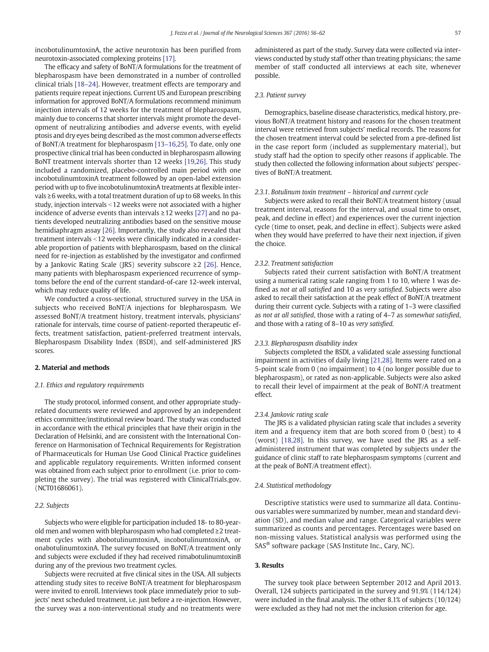incobotulinumtoxinA, the active neurotoxin has been purified from neurotoxin-associated complexing proteins [\[17\].](#page-6-0)

The efficacy and safety of BoNT/A formulations for the treatment of blepharospasm have been demonstrated in a number of controlled clinical trials [18–[24\].](#page-6-0) However, treatment effects are temporary and patients require repeat injections. Current US and European prescribing information for approved BoNT/A formulations recommend minimum injection intervals of 12 weeks for the treatment of blepharospasm, mainly due to concerns that shorter intervals might promote the development of neutralizing antibodies and adverse events, with eyelid ptosis and dry eyes being described as the most common adverse effects of BoNT/A treatment for blepharospasm [13–[16,25\].](#page-6-0) To date, only one prospective clinical trial has been conducted in blepharospasm allowing BoNT treatment intervals shorter than 12 weeks [\[19,26\].](#page-6-0) This study included a randomized, placebo-controlled main period with one incobotulinumtoxinA treatment followed by an open-label extension period with up to five incobotulinumtoxinA treatments at flexible intervals ≥6 weeks, with a total treatment duration of up to 68 weeks. In this study, injection intervals <12 weeks were not associated with a higher incidence of adverse events than intervals ≥12 weeks [\[27\]](#page-6-0) and no patients developed neutralizing antibodies based on the sensitive mouse hemidiaphragm assay [\[26\].](#page-6-0) Importantly, the study also revealed that treatment intervals <12 weeks were clinically indicated in a considerable proportion of patients with blepharospasm, based on the clinical need for re-injection as established by the investigator and confirmed by a Jankovic Rating Scale (JRS) severity subscore ≥2 [\[26\].](#page-6-0) Hence, many patients with blepharospasm experienced recurrence of symptoms before the end of the current standard-of-care 12-week interval, which may reduce quality of life.

We conducted a cross-sectional, structured survey in the USA in subjects who received BoNT/A injections for blepharospasm. We assessed BoNT/A treatment history, treatment intervals, physicians' rationale for intervals, time course of patient-reported therapeutic effects, treatment satisfaction, patient-preferred treatment intervals, Blepharospasm Disability Index (BSDI), and self-administered JRS scores.

#### 2. Material and methods

#### 2.1. Ethics and regulatory requirements

The study protocol, informed consent, and other appropriate studyrelated documents were reviewed and approved by an independent ethics committee/institutional review board. The study was conducted in accordance with the ethical principles that have their origin in the Declaration of Helsinki, and are consistent with the International Conference on Harmonisation of Technical Requirements for Registration of Pharmaceuticals for Human Use Good Clinical Practice guidelines and applicable regulatory requirements. Written informed consent was obtained from each subject prior to enrollment (i.e. prior to completing the survey). The trial was registered with ClinicalTrials.gov. (NCT01686061).

#### 2.2. Subjects

Subjects who were eligible for participation included 18- to 80-yearold men and women with blepharospasm who had completed ≥2 treatment cycles with abobotulinumtoxinA, incobotulinumtoxinA, or onabotulinumtoxinA. The survey focused on BoNT/A treatment only and subjects were excluded if they had received rimabotulinumtoxinB during any of the previous two treatment cycles.

Subjects were recruited at five clinical sites in the USA. All subjects attending study sites to receive BoNT/A treatment for blepharospasm were invited to enroll. Interviews took place immediately prior to subjects' next scheduled treatment, i.e. just before a re-injection. However, the survey was a non-interventional study and no treatments were administered as part of the study. Survey data were collected via interviews conducted by study staff other than treating physicians; the same member of staff conducted all interviews at each site, whenever possible.

#### 2.3. Patient survey

Demographics, baseline disease characteristics, medical history, previous BoNT/A treatment history and reasons for the chosen treatment interval were retrieved from subjects' medical records. The reasons for the chosen treatment interval could be selected from a pre-defined list in the case report form (included as supplementary material), but study staff had the option to specify other reasons if applicable. The study then collected the following information about subjects' perspectives of BoNT/A treatment.

#### 2.3.1. Botulinum toxin treatment – historical and current cycle

Subjects were asked to recall their BoNT/A treatment history (usual treatment interval, reasons for the interval, and usual time to onset, peak, and decline in effect) and experiences over the current injection cycle (time to onset, peak, and decline in effect). Subjects were asked when they would have preferred to have their next injection, if given the choice.

#### 2.3.2. Treatment satisfaction

Subjects rated their current satisfaction with BoNT/A treatment using a numerical rating scale ranging from 1 to 10, where 1 was defined as not at all satisfied and 10 as very satisfied. Subjects were also asked to recall their satisfaction at the peak effect of BoNT/A treatment during their current cycle. Subjects with a rating of 1–3 were classified as not at all satisfied, those with a rating of 4–7 as somewhat satisfied, and those with a rating of 8–10 as very satisfied.

#### 2.3.3. Blepharospasm disability index

Subjects completed the BSDI, a validated scale assessing functional impairment in activities of daily living [\[21,28\].](#page-6-0) Items were rated on a 5-point scale from 0 (no impairment) to 4 (no longer possible due to blepharospasm), or rated as non-applicable. Subjects were also asked to recall their level of impairment at the peak of BoNT/A treatment effect.

#### 2.3.4. Jankovic rating scale

The JRS is a validated physician rating scale that includes a severity item and a frequency item that are both scored from 0 (best) to 4 (worst) [\[18,28\]](#page-6-0). In this survey, we have used the JRS as a selfadministered instrument that was completed by subjects under the guidance of clinic staff to rate blepharospasm symptoms (current and at the peak of BoNT/A treatment effect).

#### 2.4. Statistical methodology

Descriptive statistics were used to summarize all data. Continuous variables were summarized by number, mean and standard deviation (SD), and median value and range. Categorical variables were summarized as counts and percentages. Percentages were based on non-missing values. Statistical analysis was performed using the SAS® software package (SAS Institute Inc., Cary, NC).

#### 3. Results

The survey took place between September 2012 and April 2013. Overall, 124 subjects participated in the survey and 91.9% (114/124) were included in the final analysis. The other 8.1% of subjects (10/124) were excluded as they had not met the inclusion criterion for age.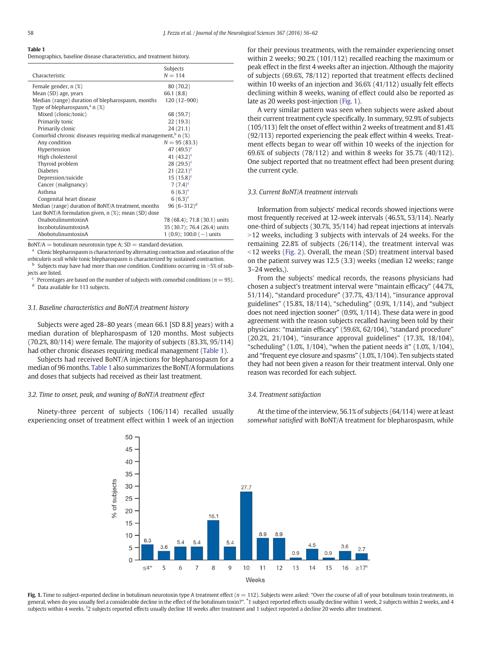#### Table 1

Demographics, baseline disease characteristics, and treatment history.

|                                                                            | Subjects                     |  |
|----------------------------------------------------------------------------|------------------------------|--|
| Characteristic                                                             | $N = 114$                    |  |
| Female gender, n (%)                                                       | 80 (70.2)                    |  |
| Mean (SD) age, years                                                       | 66.1 (8.8)                   |  |
| Median (range) duration of blepharospasm, months                           | 120 (12-900)                 |  |
| Type of blepharospasm, $a_n(x)$                                            |                              |  |
| Mixed (clonic/tonic)                                                       | 68 (59.7)                    |  |
| Primarily tonic                                                            | 22 (19.3)                    |  |
| Primarily clonic                                                           | 24(21.1)                     |  |
| Comorbid chronic diseases requiring medical management, <sup>b</sup> n (%) |                              |  |
| Any condition                                                              | $N = 95(83.3)$               |  |
| Hypertension                                                               | 47 $(49.5)^c$                |  |
| High cholesterol                                                           | 41 $(43.2)^c$                |  |
| Thyroid problem                                                            | 28 $(29.5)^c$                |  |
| <b>Diabetes</b>                                                            | $21 (22.1)^c$                |  |
| Depression/suicide                                                         | $15(15.8)^c$                 |  |
| Cancer (malignancy)                                                        | 7 $(7.4)^c$                  |  |
| Asthma                                                                     | $6(6.3)^c$                   |  |
| Congenital heart disease                                                   | $6(6.3)^c$                   |  |
| Median (range) duration of BoNT/A treatment, months                        | 96 $(6-312)^d$               |  |
| Last BoNT/A formulation given, $n$ (%); mean (SD) dose                     |                              |  |
| OnabotulinumtoxinA                                                         | 78 (68.4); 71.8 (30.1) units |  |
| IncobotulinumtoxinA                                                        | 35 (30.7); 76.4 (26.4) units |  |
| AbobotulinumtoxinA                                                         | $1(0.9)$ ; 100.0 (-) units   |  |

 $BoNT/A =$  botulinum neurotoxin type A;  $SD =$  standard deviation.

<sup>a</sup> Clonic blepharospasm is characterized by alternating contraction and relaxation of the orbicularis oculi while tonic blepharospasm is characterized by sustained contraction.

Subjects may have had more than one condition. Conditions occurring in  $>5\%$  of subjects are listed.

 $c$  Percentages are based on the number of subjects with comorbid conditions ( $n = 95$ ).

<sup>d</sup> Data available for 113 subjects.

#### 3.1. Baseline characteristics and BoNT/A treatment history

Subjects were aged 28–80 years (mean 66.1 [SD 8.8] years) with a median duration of blepharospasm of 120 months. Most subjects (70.2%, 80/114) were female. The majority of subjects (83.3%, 95/114) had other chronic diseases requiring medical management (Table 1).

Subjects had received BoNT/A injections for blepharospasm for a median of 96 months. Table 1 also summarizes the BoNT/A formulations and doses that subjects had received as their last treatment.

#### 3.2. Time to onset, peak, and waning of BoNT/A treatment effect

Ninety-three percent of subjects (106/114) recalled usually experiencing onset of treatment effect within 1 week of an injection for their previous treatments, with the remainder experiencing onset within 2 weeks; 90.2% (101/112) recalled reaching the maximum or peak effect in the first 4 weeks after an injection. Although the majority of subjects (69.6%, 78/112) reported that treatment effects declined within 10 weeks of an injection and 36.6% (41/112) usually felt effects declining within 8 weeks, waning of effect could also be reported as late as 20 weeks post-injection (Fig. 1).

A very similar pattern was seen when subjects were asked about their current treatment cycle specifically. In summary, 92.9% of subjects (105/113) felt the onset of effect within 2 weeks of treatment and 81.4% (92/113) reported experiencing the peak effect within 4 weeks. Treatment effects began to wear off within 10 weeks of the injection for 69.6% of subjects (78/112) and within 8 weeks for 35.7% (40/112). One subject reported that no treatment effect had been present during the current cycle.

#### 3.3. Current BoNT/A treatment intervals

Information from subjects' medical records showed injections were most frequently received at 12-week intervals (46.5%, 53/114). Nearly one-third of subjects (30.7%, 35/114) had repeat injections at intervals >12 weeks, including 3 subjects with intervals of 24 weeks. For the remaining 22.8% of subjects (26/114), the treatment interval was  $12$  weeks ([Fig. 2](#page-3-0)). Overall, the mean (SD) treatment interval based on the patient survey was 12.5 (3.3) weeks (median 12 weeks; range 3–24 weeks,).

From the subjects' medical records, the reasons physicians had chosen a subject's treatment interval were "maintain efficacy" (44.7%, 51/114), "standard procedure" (37.7%, 43/114), "insurance approval guidelines" (15.8%, 18/114), "scheduling" (0.9%, 1/114), and "subject does not need injection sooner" (0.9%, 1/114). These data were in good agreement with the reason subjects recalled having been told by their physicians: "maintain efficacy" (59.6%, 62/104), "standard procedure" (20.2%, 21/104), "insurance approval guidelines" (17.3%, 18/104), "scheduling" (1.0%, 1/104), "when the patient needs it" (1.0%, 1/104), and "frequent eye closure and spasms" (1.0%, 1/104). Ten subjects stated they had not been given a reason for their treatment interval. Only one reason was recorded for each subject.

#### 3.4. Treatment satisfaction

At the time of the interview, 56.1% of subjects (64/114) were at least somewhat satisfied with BoNT/A treatment for blepharospasm, while



Fig. 1. Time to subject-reported decline in botulinum neurotoxin type A treatment effect  $(n = 112)$ . Subjects were asked: "Over the course of all of your botulinum toxin treatments, in general, when do you usually feel a considerable decline in the effect of the botulinum toxin?". <sup>\*</sup>1 subject reported effects usually decline within 1 week, 2 subjects within 2 weeks, and 4 subjects within 4 weeks. † 2 subjects reported effects usually decline 18 weeks after treatment and 1 subject reported a decline 20 weeks after treatment.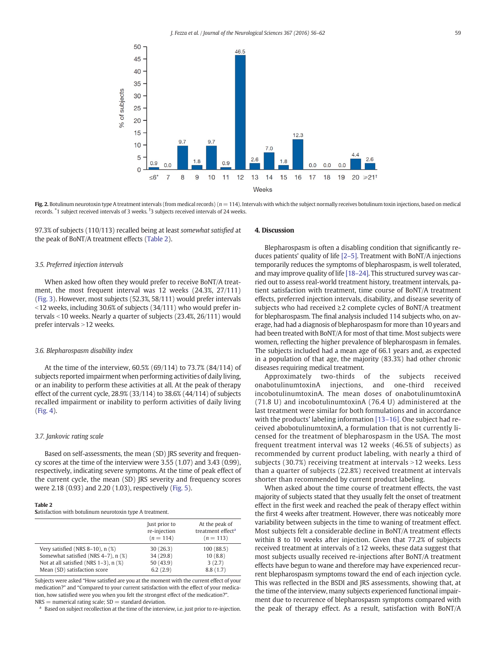<span id="page-3-0"></span>

Fig. 2. Botulinum neurotoxin type A treatment intervals (from medical records)  $(n = 114)$ . Intervals with which the subject normally receives botulinum toxin injections, based on medical records. <sup>\*</sup>1 subject received intervals of 3 weeks. <sup>†</sup>3 subjects received intervals of 24 weeks.

97.3% of subjects (110/113) recalled being at least somewhat satisfied at the peak of BoNT/A treatment effects (Table 2).

#### 3.5. Preferred injection intervals

When asked how often they would prefer to receive BoNT/A treatment, the most frequent interval was 12 weeks (24.3%, 27/111) [\(Fig. 3](#page-4-0)). However, most subjects (52.3%, 58/111) would prefer intervals  $12$  weeks, including 30.6% of subjects (34/111) who would prefer intervals  $<10$  weeks. Nearly a quarter of subjects (23.4%, 26/111) would prefer intervals  $>12$  weeks.

#### 3.6. Blepharospasm disability index

At the time of the interview, 60.5% (69/114) to 73.7% (84/114) of subjects reported impairment when performing activities of daily living, or an inability to perform these activities at all. At the peak of therapy effect of the current cycle, 28.9% (33/114) to 38.6% (44/114) of subjects recalled impairment or inability to perform activities of daily living [\(Fig. 4\)](#page-4-0).

#### 3.7. Jankovic rating scale

Based on self-assessments, the mean (SD) JRS severity and frequency scores at the time of the interview were 3.55 (1.07) and 3.43 (0.99), respectively, indicating severe symptoms. At the time of peak effect of the current cycle, the mean (SD) JRS severity and frequency scores were 2.18 (0.93) and 2.20 (1.03), respectively [\(Fig. 5](#page-5-0)).

#### Table 2

Satisfaction with botulinum neurotoxin type A treatment.

| Just prior to<br>re-injection<br>$(n = 114)$ | At the peak of<br>treatment effect <sup>a</sup><br>$(n = 113)$ |
|----------------------------------------------|----------------------------------------------------------------|
| 30(26.3)                                     | 100(88.5)                                                      |
| 34 (29.8)                                    | 10(8.8)                                                        |
| 50(43.9)                                     | 3(2.7)                                                         |
| 6.2(2.9)                                     | 8.8(1.7)                                                       |
|                                              |                                                                |

Subjects were asked "How satisfied are you at the moment with the current effect of your medication?" and "Compared to your current satisfaction with the effect of your medication, how satisfied were you when you felt the strongest effect of the medication?".  $NRS =$  numerical rating scale;  $SD =$  standard deviation.

Based on subject recollection at the time of the interview, i.e. just prior to re-injection.

### 4. Discussion

Blepharospasm is often a disabling condition that significantly reduces patients' quality of life [2–[5\].](#page-6-0) Treatment with BoNT/A injections temporarily reduces the symptoms of blepharospasm, is well tolerated, and may improve quality of life [18–[24\].](#page-6-0) This structured survey was carried out to assess real-world treatment history, treatment intervals, patient satisfaction with treatment, time course of BoNT/A treatment effects, preferred injection intervals, disability, and disease severity of subjects who had received ≥2 complete cycles of BoNT/A treatment for blepharospasm. The final analysis included 114 subjects who, on average, had had a diagnosis of blepharospasm for more than 10 years and had been treated with BoNT/A for most of that time. Most subjects were women, reflecting the higher prevalence of blepharospasm in females. The subjects included had a mean age of 66.1 years and, as expected in a population of that age, the majority (83.3%) had other chronic diseases requiring medical treatment.

Approximately two-thirds of the subjects received onabotulinumtoxinA injections, and one-third received incobotulinumtoxinA. The mean doses of onabotulinumtoxinA (71.8 U) and incobotulinumtoxinA (76.4 U) administered at the last treatment were similar for both formulations and in accordance with the products' labeling information [\[13](#page-6-0)–16]. One subject had received abobotulinumtoxinA, a formulation that is not currently licensed for the treatment of blepharospasm in the USA. The most frequent treatment interval was 12 weeks (46.5% of subjects) as recommended by current product labeling, with nearly a third of subjects  $(30.7%)$  receiving treatment at intervals >12 weeks. Less than a quarter of subjects (22.8%) received treatment at intervals shorter than recommended by current product labeling.

When asked about the time course of treatment effects, the vast majority of subjects stated that they usually felt the onset of treatment effect in the first week and reached the peak of therapy effect within the first 4 weeks after treatment. However, there was noticeably more variability between subjects in the time to waning of treatment effect. Most subjects felt a considerable decline in BoNT/A treatment effects within 8 to 10 weeks after injection. Given that 77.2% of subjects received treatment at intervals of  $\geq$  12 weeks, these data suggest that most subjects usually received re-injections after BoNT/A treatment effects have begun to wane and therefore may have experienced recurrent blepharospasm symptoms toward the end of each injection cycle. This was reflected in the BSDI and JRS assessments, showing that, at the time of the interview, many subjects experienced functional impairment due to recurrence of blepharospasm symptoms compared with the peak of therapy effect. As a result, satisfaction with BoNT/A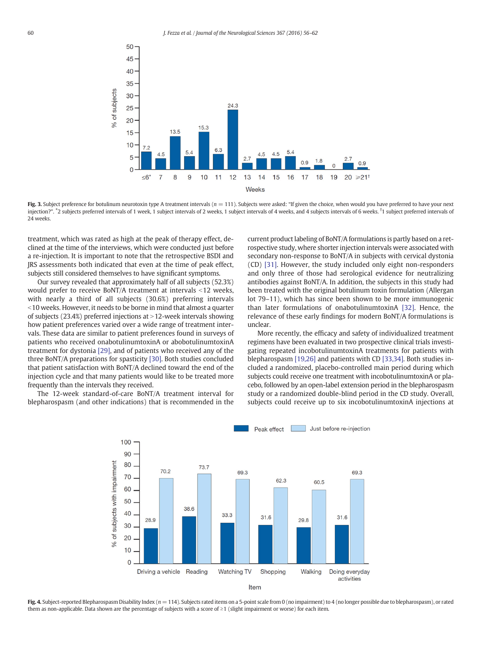<span id="page-4-0"></span>

Fig. 3. Subject preference for botulinum neurotoxin type A treatment intervals  $(n = 111)$ . Subjects were asked: "If given the choice, when would you have preferred to have your next injection?". <sup>\*</sup>2 subjects preferred intervals of 1 week, 1 subject intervals of 2 weeks, 1 subject intervals of 4 weeks, and 4 subjects intervals of 6 weeks. <sup>†</sup>1 subject preferred intervals of 24 weeks.

treatment, which was rated as high at the peak of therapy effect, declined at the time of the interviews, which were conducted just before a re-injection. It is important to note that the retrospective BSDI and JRS assessments both indicated that even at the time of peak effect, subjects still considered themselves to have significant symptoms.

Our survey revealed that approximately half of all subjects (52.3%) would prefer to receive BoNT/A treatment at intervals  $<12$  weeks, with nearly a third of all subjects (30.6%) preferring intervals  $10$  weeks. However, it needs to be borne in mind that almost a quarter of subjects (23.4%) preferred injections at  $>$  12-week intervals showing how patient preferences varied over a wide range of treatment intervals. These data are similar to patient preferences found in surveys of patients who received onabotulinumtoxinA or abobotulinumtoxinA treatment for dystonia [\[29\]](#page-6-0), and of patients who received any of the three BoNT/A preparations for spasticity [\[30\]](#page-6-0). Both studies concluded that patient satisfaction with BoNT/A declined toward the end of the injection cycle and that many patients would like to be treated more frequently than the intervals they received.

The 12-week standard-of-care BoNT/A treatment interval for blepharospasm (and other indications) that is recommended in the current product labeling of BoNT/A formulations is partly based on a retrospective study, where shorter injection intervals were associated with secondary non-response to BoNT/A in subjects with cervical dystonia (CD) [\[31\]](#page-6-0). However, the study included only eight non-responders and only three of those had serological evidence for neutralizing antibodies against BoNT/A. In addition, the subjects in this study had been treated with the original botulinum toxin formulation (Allergan lot 79–11), which has since been shown to be more immunogenic than later formulations of onabotulinumtoxinA [\[32\].](#page-6-0) Hence, the relevance of these early findings for modern BoNT/A formulations is unclear.

More recently, the efficacy and safety of individualized treatment regimens have been evaluated in two prospective clinical trials investigating repeated incobotulinumtoxinA treatments for patients with blepharospasm [\[19,26\]](#page-6-0) and patients with CD [\[33,34\]](#page-6-0). Both studies included a randomized, placebo-controlled main period during which subjects could receive one treatment with incobotulinumtoxinA or placebo, followed by an open-label extension period in the blepharospasm study or a randomized double-blind period in the CD study. Overall, subjects could receive up to six incobotulinumtoxinA injections at



Fig. 4. Subject-reported Blepharospasm Disability Index ( $n = 114$ ). Subjects rated items on a 5-point scale from 0 (no impairment) to 4 (no longer possible due to blepharospasm), or rated them as non-applicable. Data shown are the percentage of subjects with a score of ≥1 (slight impairment or worse) for each item.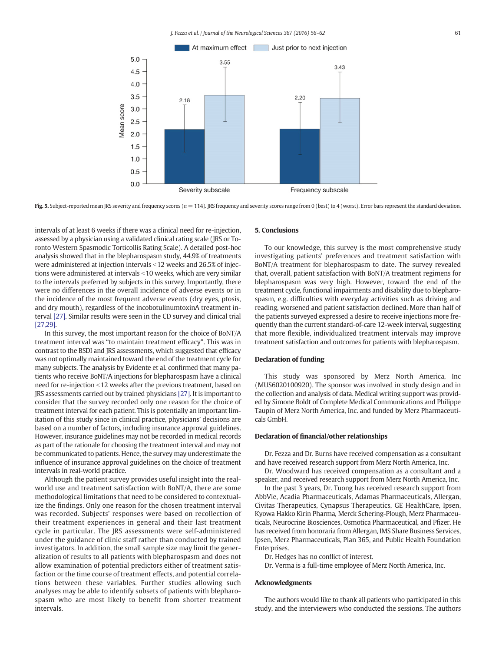<span id="page-5-0"></span>

Fig. 5. Subject-reported mean JRS severity and frequency scores ( $n = 114$ ). JRS frequency and severity scores range from 0 (best) to 4 (worst). Error bars represent the standard deviation.

intervals of at least 6 weeks if there was a clinical need for re-injection, assessed by a physician using a validated clinical rating scale (JRS or Toronto Western Spasmodic Torticollis Rating Scale). A detailed post-hoc analysis showed that in the blepharospasm study, 44.9% of treatments were administered at injection intervals <12 weeks and 26.5% of injections were administered at intervals < 10 weeks, which are very similar to the intervals preferred by subjects in this survey. Importantly, there were no differences in the overall incidence of adverse events or in the incidence of the most frequent adverse events (dry eyes, ptosis, and dry mouth), regardless of the incobotulinumtoxinA treatment interval [\[27\].](#page-6-0) Similar results were seen in the CD survey and clinical trial [\[27,29\]](#page-6-0).

In this survey, the most important reason for the choice of BoNT/A treatment interval was "to maintain treatment efficacy". This was in contrast to the BSDI and JRS assessments, which suggested that efficacy was not optimally maintained toward the end of the treatment cycle for many subjects. The analysis by Evidente et al. confirmed that many patients who receive BoNT/A injections for blepharospasm have a clinical need for re-injection <12 weeks after the previous treatment, based on JRS assessments carried out by trained physicians [\[27\]](#page-6-0). It is important to consider that the survey recorded only one reason for the choice of treatment interval for each patient. This is potentially an important limitation of this study since in clinical practice, physicians' decisions are based on a number of factors, including insurance approval guidelines. However, insurance guidelines may not be recorded in medical records as part of the rationale for choosing the treatment interval and may not be communicated to patients. Hence, the survey may underestimate the influence of insurance approval guidelines on the choice of treatment intervals in real-world practice.

Although the patient survey provides useful insight into the realworld use and treatment satisfaction with BoNT/A, there are some methodological limitations that need to be considered to contextualize the findings. Only one reason for the chosen treatment interval was recorded. Subjects' responses were based on recollection of their treatment experiences in general and their last treatment cycle in particular. The JRS assessments were self-administered under the guidance of clinic staff rather than conducted by trained investigators. In addition, the small sample size may limit the generalization of results to all patients with blepharospasm and does not allow examination of potential predictors either of treatment satisfaction or the time course of treatment effects, and potential correlations between these variables. Further studies allowing such analyses may be able to identify subsets of patients with blepharospasm who are most likely to benefit from shorter treatment intervals.

#### 5. Conclusions

To our knowledge, this survey is the most comprehensive study investigating patients' preferences and treatment satisfaction with BoNT/A treatment for blepharospasm to date. The survey revealed that, overall, patient satisfaction with BoNT/A treatment regimens for blepharospasm was very high. However, toward the end of the treatment cycle, functional impairments and disability due to blepharospasm, e.g. difficulties with everyday activities such as driving and reading, worsened and patient satisfaction declined. More than half of the patients surveyed expressed a desire to receive injections more frequently than the current standard-of-care 12-week interval, suggesting that more flexible, individualized treatment intervals may improve treatment satisfaction and outcomes for patients with blepharospasm.

#### Declaration of funding

This study was sponsored by Merz North America, Inc (MUS6020100920). The sponsor was involved in study design and in the collection and analysis of data. Medical writing support was provided by Simone Boldt of Complete Medical Communications and Philippe Taupin of Merz North America, Inc. and funded by Merz Pharmaceuticals GmbH.

#### Declaration of financial/other relationships

Dr. Fezza and Dr. Burns have received compensation as a consultant and have received research support from Merz North America, Inc.

Dr. Woodward has received compensation as a consultant and a speaker, and received research support from Merz North America, Inc.

In the past 3 years, Dr. Tuong has received research support from AbbVie, Acadia Pharmaceuticals, Adamas Pharmaceuticals, Allergan, Civitas Therapeutics, Cynapsus Therapeutics, GE HealthCare, Ipsen, Kyowa Hakko Kirin Pharma, Merck Schering-Plough, Merz Pharmaceuticals, Neurocrine Biosciences, Osmotica Pharmaceutical, and Pfizer. He has received from honoraria from Allergan, IMS Share Business Services, Ipsen, Merz Pharmaceuticals, Plan 365, and Public Health Foundation **Enterprises** 

Dr. Hedges has no conflict of interest.

Dr. Verma is a full-time employee of Merz North America, Inc.

### Acknowledgments

The authors would like to thank all patients who participated in this study, and the interviewers who conducted the sessions. The authors